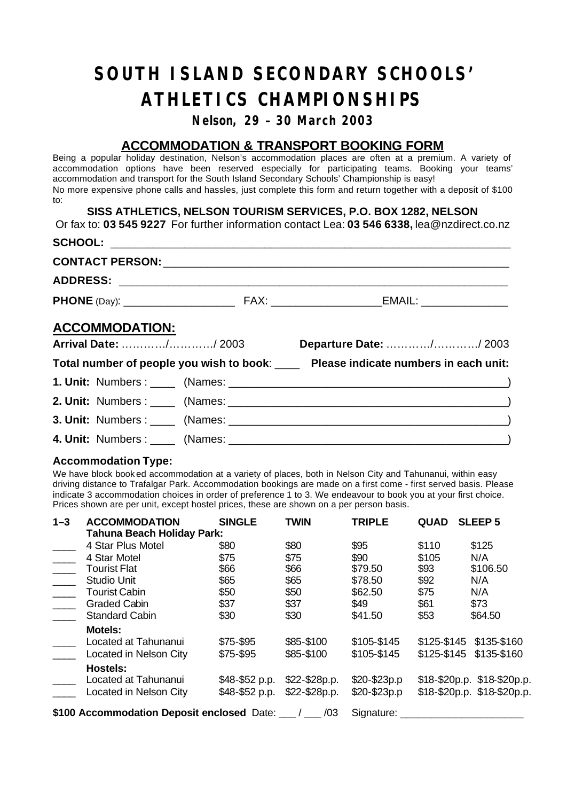# *SOUTH ISLAND SECONDARY SCHOOLS' ATHLETICS CHAMPIONSHIPS*

## *Nelson, 29 – 30 March 2003*

# **ACCOMMODATION & TRANSPORT BOOKING FORM**

Being a popular holiday destination, Nelson's accommodation places are often at a premium. A variety of accommodation options have been reserved especially for participating teams. Booking your teams' accommodation and transport for the South Island Secondary Schools' Championship is easy! No more expensive phone calls and hassles, just complete this form and return together with a deposit of \$100 to:

## **SISS ATHLETICS, NELSON TOURISM SERVICES, P.O. BOX 1282, NELSON**

Or fax to: **03 545 9227** For further information contact Lea: **03 546 6338,** lea@nzdirect.co.nz  $SCHOOL:$ **CONTACT PERSON:** \_\_\_\_\_\_\_\_\_\_\_\_\_\_\_\_\_\_\_\_\_\_\_\_\_\_\_\_\_\_\_\_\_\_\_\_\_\_\_\_\_\_\_\_\_\_\_\_\_\_\_\_\_\_\_\_ **ADDRESS:** \_\_\_\_\_\_\_\_\_\_\_\_\_\_\_\_\_\_\_\_\_\_\_\_\_\_\_\_\_\_\_\_\_\_\_\_\_\_\_\_\_\_\_\_\_\_\_\_\_\_\_\_\_\_\_\_\_\_\_\_\_\_\_ **PHONE** (Day): \_\_\_\_\_\_\_\_\_\_\_\_\_\_\_\_\_\_ FAX: \_\_\_\_\_\_\_\_\_\_\_\_\_\_\_\_\_\_EMAIL: \_\_\_\_\_\_\_\_\_\_\_\_\_\_ **ACCOMMODATION: Arrival Date:** …………/…………/ 2003 **Departure Date:** …………/…………/ 2003 **Total number of people you wish to book**: \_\_\_\_ **Please indicate numbers in each unit: 1. Unit:** Numbers : \_\_\_\_ (Names: \_\_\_\_\_\_\_\_\_\_\_\_\_\_\_\_\_\_\_\_\_\_\_\_\_\_\_\_\_\_\_\_\_\_\_\_\_\_\_\_\_\_\_\_\_) **2. Unit:** Numbers : \_\_\_\_ (Names: \_\_\_\_\_\_\_\_\_\_\_\_\_\_\_\_\_\_\_\_\_\_\_\_\_\_\_\_\_\_\_\_\_\_\_\_\_\_\_\_\_\_\_\_\_) **3. Unit:** Numbers : \_\_\_\_ (Names: \_\_\_\_\_\_\_\_\_\_\_\_\_\_\_\_\_\_\_\_\_\_\_\_\_\_\_\_\_\_\_\_\_\_\_\_\_\_\_\_\_\_\_\_\_) **4. Unit:** Numbers : \_\_\_\_ (Names: \_\_\_\_\_\_\_\_\_\_\_\_\_\_\_\_\_\_\_\_\_\_\_\_\_\_\_\_\_\_\_\_\_\_\_\_\_\_\_\_\_\_\_\_\_)

#### **Accommodation Type:**

We have block book ed accommodation at a variety of places, both in Nelson City and Tahunanui, within easy driving distance to Trafalgar Park. Accommodation bookings are made on a first come - first served basis. Please indicate 3 accommodation choices in order of preference 1 to 3. We endeavour to book you at your first choice. Prices shown are per unit, except hostel prices, these are shown on a per person basis.

| $1 - 3$                       | <b>ACCOMMODATION</b>                       | <b>SINGLE</b>  | <b>TWIN</b>   | <b>TRIPLE</b> | <b>QUAD</b> | <b>SLEEP 5</b>                |  |  |
|-------------------------------|--------------------------------------------|----------------|---------------|---------------|-------------|-------------------------------|--|--|
|                               | <b>Tahuna Beach Holiday Park:</b>          |                |               |               |             |                               |  |  |
|                               | 4 Star Plus Motel                          | \$80           | \$80          | \$95          | \$110       | \$125                         |  |  |
|                               | 4 Star Motel                               | \$75           | \$75          | \$90          | \$105       | N/A                           |  |  |
| $\frac{1}{2}$ , $\frac{1}{2}$ | <b>Tourist Flat</b>                        | \$66           | \$66          | \$79.50       | \$93        | \$106.50                      |  |  |
|                               | <b>Studio Unit</b>                         | \$65           | \$65          | \$78.50       | \$92        | N/A                           |  |  |
|                               | <b>Tourist Cabin</b>                       | \$50           | \$50          | \$62.50       | \$75        | N/A                           |  |  |
|                               | <b>Graded Cabin</b>                        | \$37           | \$37          | \$49          | \$61        | \$73                          |  |  |
|                               | <b>Standard Cabin</b>                      | \$30           | \$30          | \$41.50       | \$53        | \$64.50                       |  |  |
|                               | <b>Motels:</b>                             |                |               |               |             |                               |  |  |
|                               | Located at Tahunanui                       | \$75-\$95      | \$85-\$100    | \$105-\$145   | \$125-\$145 | \$135-\$160                   |  |  |
|                               | Located in Nelson City                     | \$75-\$95      | \$85-\$100    | \$105-\$145   | \$125-\$145 | \$135-\$160                   |  |  |
|                               | <b>Hostels:</b>                            |                |               |               |             |                               |  |  |
|                               | Located at Tahunanui                       | \$48-\$52 p.p. | \$22-\$28p.p. | \$20-\$23p.p  |             | $$18 - $20p.p. $18 - $20p.p.$ |  |  |
|                               | Located in Nelson City                     | \$48-\$52 p.p. | \$22-\$28p.p. | \$20-\$23p.p  |             | \$18-\$20p.p. \$18-\$20p.p.   |  |  |
|                               | \$100 Accommodation Deposit enclosed Date: | Signature:     |               |               |             |                               |  |  |